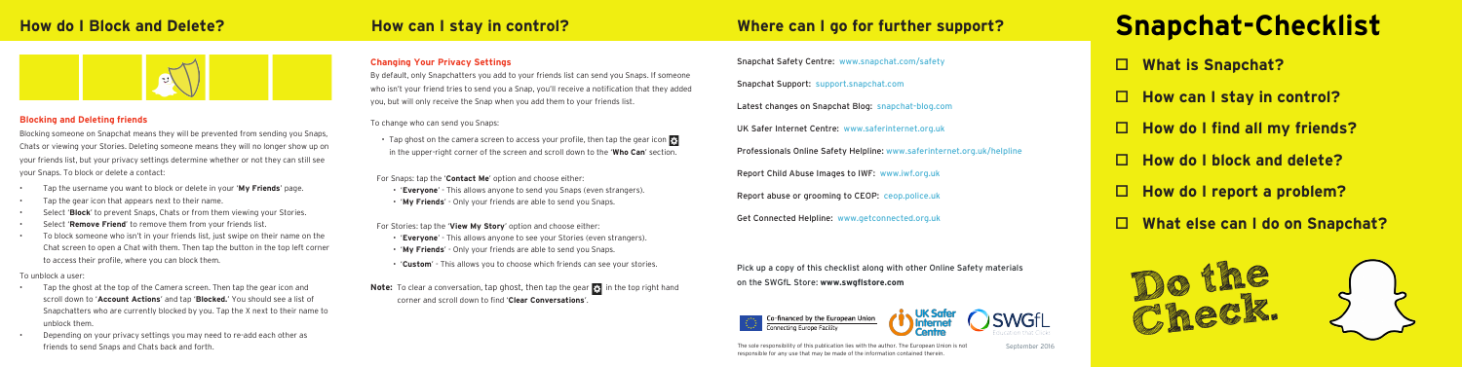

### **Blocking and Deleting friends**

Blocking someone on Snapchat means they will be prevented from sending you Snaps, Chats or viewing your Stories. Deleting someone means they will no longer show up on your friends list, but your privacy settings determine whether or not they can still see your Snaps. To block or delete a contact:

- Tap the username you want to block or delete in your '**My Friends**' page.
- Tap the gear icon that appears next to their name.
- Select '**Block**' to prevent Snaps, Chats or from them viewing your Stories.
- Select '**Remove Friend**' to remove them from your friends list.
- To block someone who isn't in your friends list, just swipe on their name on the Chat screen to open a Chat with them. Then tap the button in the top left corner to access their profile, where you can block them.

### To unblock a user:

- Tap the ghost at the top of the Camera screen. Then tap the gear icon and scroll down to '**Account Actions**' and tap '**Blocked.**' You should see a list of Snapchatters who are currently blocked by you. Tap the X next to their name to unblock them.
- Depending on your privacy settings you may need to re-add each other as friends to send Snaps and Chats back and forth. The sole responsibility of this publication lies with the author. The European Union is not September 2016

### **Changing Your Privacy Settings**

By default, only Snapchatters you add to your friends list can send you Snaps. If someone who isn't your friend tries to send you a Snap, you'll receive a notification that they added you, but will only receive the Snap when you add them to your friends list.

### To change who can send you Snaps:

- Tap ghost on the camera screen to access your profile, then tap the gear icon in the upper-right corner of the screen and scroll down to the '**Who Can**' section.
- For Snaps: tap the '**Contact Me**' option and choose either:
- '**Everyone**' This allows anyone to send you Snaps (even strangers). • '**My Friends**' - Only your friends are able to send you Snaps.
- For Stories: tap the '**View My Story**' option and choose either:
	- '**Everyone**' This allows anyone to see your Stories (even strangers).
	- '**My Friends**' Only your friends are able to send you Snaps.
	- '**Custom**' This allows you to choose which friends can see your stories.
- Note: To clear a conversation, tap ghost, then tap the gear **in the top right hand** corner and scroll down to find '**Clear Conversations**'.

Snapchat Safety Centre: www.snapchat.com/safety Snapchat Support: support.snapchat.com Latest changes on Snapchat Blog: snapchat-blog.com UK Safer Internet Centre: www.saferinternet.org.uk Professionals Online Safety Helpline: www.saferinternet.org.uk/helpline Report Child Abuse Images to IWF: www.iwf.org.uk Report abuse or grooming to CEOP: ceop.police.uk Get Connected Helpline: www.getconnected.org.uk

Pick up a copy of this checklist along with other Online Safety materials on the SWGfL Store: **www.swgflstore.com**



esponsible for any use that may be made of the information contained therein

# □ What is Snapchat? □ How can I stay in control? □ How do I find all my friends? **Where can I go for further support? Snapchat-Checklist**

□ How do I block and delete?

- □ How do I report a problem?
- **What else can I do on Snapchat?**